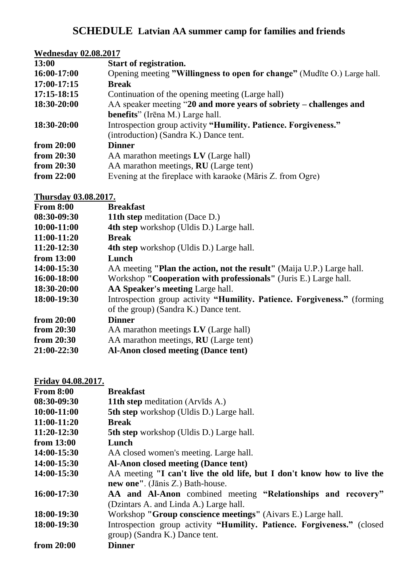## **SCHEDULE Latvian AA summer camp for families and friends**

| <b>Wednesday 02.08.2017</b> |                                                                          |  |
|-----------------------------|--------------------------------------------------------------------------|--|
| 13:00                       | Start of registration.                                                   |  |
| 16:00-17:00                 | Opening meeting "Willingness to open for change" (Mudīte O.) Large hall. |  |
| 17:00-17:15                 | <b>Break</b>                                                             |  |
| 17:15-18:15                 | Continuation of the opening meeting (Large hall)                         |  |
| 18:30-20:00                 | AA speaker meeting "20 and more years of sobriety – challenges and       |  |
|                             | <b>benefits</b> " (Irena M.) Large hall.                                 |  |
| 18:30-20:00                 | Introspection group activity "Humility. Patience. Forgiveness."          |  |
|                             | (introduction) (Sandra K.) Dance tent.                                   |  |
| from 20:00                  | <b>Dinner</b>                                                            |  |
| from 20:30                  | AA marathon meetings LV (Large hall)                                     |  |
| from 20:30                  | AA marathon meetings, <b>RU</b> (Large tent)                             |  |
| from 22:00                  | Evening at the fireplace with karaoke (Māris Z. from Ogre)               |  |
|                             |                                                                          |  |

## **Thursday 03.08.2017.**

| <b>From 8:00</b> | <b>Breakfast</b>                                                         |
|------------------|--------------------------------------------------------------------------|
| 08:30-09:30      | <b>11th step meditation (Dace D.)</b>                                    |
| 10:00-11:00      | <b>4th step</b> workshop (Uldis D.) Large hall.                          |
| 11:00-11:20      | <b>Break</b>                                                             |
| 11:20-12:30      | <b>4th step</b> workshop (Uldis D.) Large hall.                          |
| from $13:00$     | Lunch                                                                    |
| 14:00-15:30      | AA meeting "Plan the action, not the result" (Maija U.P.) Large hall.    |
| 16:00-18:00      | Workshop "Cooperation with professionals" (Juris E.) Large hall.         |
| 18:30-20:00      | AA Speaker's meeting Large hall.                                         |
| 18:00-19:30      | Introspection group activity "Humility. Patience. Forgiveness." (forming |
|                  | of the group) (Sandra K.) Dance tent.                                    |
| from $20:00$     | <b>Dinner</b>                                                            |
| from $20:30$     | AA marathon meetings LV (Large hall)                                     |
| from $20:30$     | AA marathon meetings, <b>RU</b> (Large tent)                             |
| 21:00-22:30      | <b>Al-Anon closed meeting (Dance tent)</b>                               |

## **Friday 04.08.2017.**

| <b>From 8:00</b> | <b>Breakfast</b>                                                        |
|------------------|-------------------------------------------------------------------------|
| 08:30-09:30      | <b>11th step meditation (Arvids A.)</b>                                 |
| $10:00-11:00$    | <b>5th step</b> workshop (Uldis D.) Large hall.                         |
| 11:00-11:20      | <b>Break</b>                                                            |
| $11:20-12:30$    | <b>5th step</b> workshop (Uldis D.) Large hall.                         |
| from $13:00$     | Lunch                                                                   |
| 14:00-15:30      | AA closed women's meeting. Large hall.                                  |
| 14:00-15:30      | <b>Al-Anon closed meeting (Dance tent)</b>                              |
| 14:00-15:30      | AA meeting "I can't live the old life, but I don't know how to live the |
|                  | new one". (Jānis Z.) Bath-house.                                        |
| 16:00-17:30      | AA and Al-Anon combined meeting "Relationships and recovery"            |
|                  | (Dzintars A. and Linda A.) Large hall.                                  |
| 18:00-19:30      | Workshop "Group conscience meetings" (Aivars E.) Large hall.            |
| 18:00-19:30      | Introspection group activity "Humility. Patience. Forgiveness." (closed |
|                  | group) (Sandra K.) Dance tent.                                          |
| from 20:00       | <b>Dinner</b>                                                           |